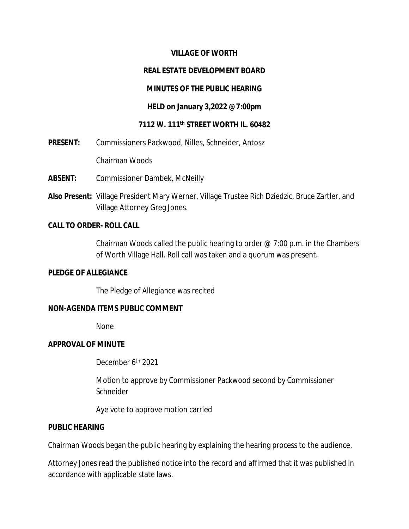#### **VILLAGE OF WORTH**

#### **REAL ESTATE DEVELOPMENT BOARD**

#### **MINUTES OF THE PUBLIC HEARING**

#### **HELD on January 3,2022 @7:00pm**

#### **7112 W. 111th STREET WORTH IL. 60482**

**PRESENT:** Commissioners Packwood, Nilles, Schneider, Antosz

Chairman Woods

- **ABSENT:** Commissioner Dambek, McNeilly
- **Also Present:** Village President Mary Werner, Village Trustee Rich Dziedzic, Bruce Zartler, and Village Attorney Greg Jones.

#### **CALL TO ORDER- ROLL CALL**

Chairman Woods called the public hearing to order  $@$  7:00 p.m. in the Chambers of Worth Village Hall. Roll call was taken and a quorum was present.

#### **PLEDGE OF ALLEGIANCE**

The Pledge of Allegiance was recited

## **NON-AGENDA ITEMS PUBLIC COMMENT**

None

#### **APPROVAL OF MINUTE**

December 6<sup>th</sup> 2021

Motion to approve by Commissioner Packwood second by Commissioner **Schneider** 

Aye vote to approve motion carried

#### **PUBLIC HEARING**

Chairman Woods began the public hearing by explaining the hearing process to the audience.

Attorney Jones read the published notice into the record and affirmed that it was published in accordance with applicable state laws.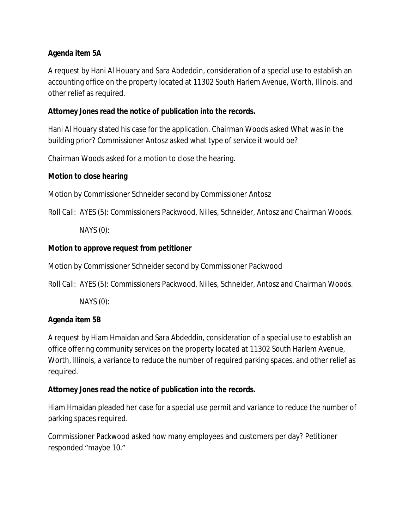## **Agenda item 5A**

A request by Hani Al Houary and Sara Abdeddin, consideration of a special use to establish an accounting office on the property located at 11302 South Harlem Avenue, Worth, Illinois, and other relief as required.

## **Attorney Jones read the notice of publication into the records.**

Hani Al Houary stated his case for the application. Chairman Woods asked What was in the building prior? Commissioner Antosz asked what type of service it would be?

Chairman Woods asked for a motion to close the hearing.

## **Motion to close hearing**

Motion by Commissioner Schneider second by Commissioner Antosz

Roll Call: AYES (5): Commissioners Packwood, Nilles, Schneider, Antosz and Chairman Woods.

NAYS (0):

## **Motion to approve request from petitioner**

Motion by Commissioner Schneider second by Commissioner Packwood

Roll Call: AYES (5): Commissioners Packwood, Nilles, Schneider, Antosz and Chairman Woods.

NAYS (0):

## **Agenda item 5B**

A request by Hiam Hmaidan and Sara Abdeddin, consideration of a special use to establish an office offering community services on the property located at 11302 South Harlem Avenue, Worth, Illinois, a variance to reduce the number of required parking spaces, and other relief as required.

## **Attorney Jones read the notice of publication into the records.**

Hiam Hmaidan pleaded her case for a special use permit and variance to reduce the number of parking spaces required.

Commissioner Packwood asked how many employees and customers per day? Petitioner responded "maybe 10."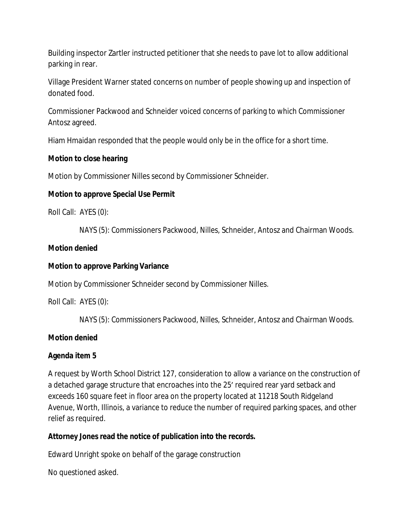Building inspector Zartler instructed petitioner that she needs to pave lot to allow additional parking in rear.

Village President Warner stated concerns on number of people showing up and inspection of donated food.

Commissioner Packwood and Schneider voiced concerns of parking to which Commissioner Antosz agreed.

Hiam Hmaidan responded that the people would only be in the office for a short time.

## **Motion to close hearing**

Motion by Commissioner Nilles second by Commissioner Schneider.

# **Motion to approve Special Use Permit**

Roll Call: AYES (0):

NAYS (5): Commissioners Packwood, Nilles, Schneider, Antosz and Chairman Woods.

## **Motion denied**

## **Motion to approve Parking Variance**

Motion by Commissioner Schneider second by Commissioner Nilles.

Roll Call: AYES (0):

NAYS (5): Commissioners Packwood, Nilles, Schneider, Antosz and Chairman Woods.

# **Motion denied**

# **Agenda item 5**

A request by Worth School District 127, consideration to allow a variance on the construction of a detached garage structure that encroaches into the 25' required rear yard setback and exceeds 160 square feet in floor area on the property located at 11218 South Ridgeland Avenue, Worth, Illinois, a variance to reduce the number of required parking spaces, and other relief as required.

# **Attorney Jones read the notice of publication into the records.**

Edward Unright spoke on behalf of the garage construction

No questioned asked.